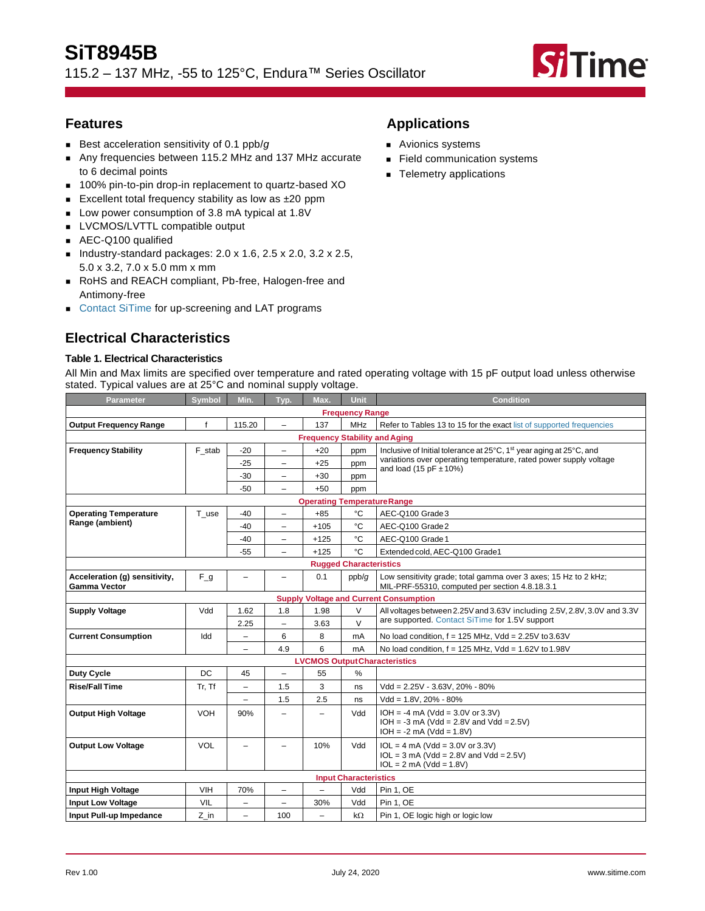115.2 – 137 MHz, -55 to 125°C, Endura™ Series Oscillator



# **Features**

- Best acceleration sensitivity of 0.1 ppb/g
- Any frequencies between 115.2 MHz and 137 MHz accurate to 6 decimal points
- 100% pin-to-pin drop-in replacement to quartz-based XO
- Excellent total frequency stability as low as ±20 ppm
- Low power consumption of 3.8 mA typical at 1.8V
- LVCMOS/LVTTL compatible output
- AEC-Q100 qualified
- Industry-standard packages:  $2.0 \times 1.6$ ,  $2.5 \times 2.0$ ,  $3.2 \times 2.5$ , 5.0 x 3.2, 7.0 x 5.0 mm x mm
- RoHS and REACH compliant, Pb-free, Halogen-free and Antimony-free
- [Contact SiTime](http://www.sitime.com/company/contact-us) for up-screening and LAT programs

# **Electrical Characteristics**

## **Table 1. Electrical Characteristics**

All Min and Max limits are specified over temperature and rated operating voltage with 15 pF output load unless otherwise stated. Typical values are at 25°C and nominal supply voltage.

| Parameter                                     | <b>Symbol</b> | Min.                     | Typ.                     | Max.                               | Unit                                                                                                            | <b>Condition</b>                                                                                                  |  |
|-----------------------------------------------|---------------|--------------------------|--------------------------|------------------------------------|-----------------------------------------------------------------------------------------------------------------|-------------------------------------------------------------------------------------------------------------------|--|
| <b>Frequency Range</b>                        |               |                          |                          |                                    |                                                                                                                 |                                                                                                                   |  |
| <b>Output Frequency Range</b>                 | f             | 115.20                   | $\qquad \qquad -$        | 137                                | <b>MHz</b>                                                                                                      | Refer to Tables 13 to 15 for the exact list of supported frequencies                                              |  |
| <b>Frequency Stability and Aging</b>          |               |                          |                          |                                    |                                                                                                                 |                                                                                                                   |  |
| <b>Frequency Stability</b>                    | F_stab        | $-20$                    | $\overline{\phantom{0}}$ | $+20$                              | ppm                                                                                                             | Inclusive of Initial tolerance at 25°C, 1 <sup>st</sup> year aging at 25°C, and                                   |  |
|                                               |               | $-25$                    | $\overline{\phantom{0}}$ | $+25$                              | ppm                                                                                                             | variations over operating temperature, rated power supply voltage<br>and load (15 pF $\pm$ 10%)                   |  |
|                                               |               | $-30$                    | $\overline{\phantom{0}}$ | $+30$                              | ppm                                                                                                             |                                                                                                                   |  |
|                                               |               | $-50$                    | -                        | $+50$                              | ppm                                                                                                             |                                                                                                                   |  |
|                                               |               |                          |                          | <b>Operating Temperature Range</b> |                                                                                                                 |                                                                                                                   |  |
| <b>Operating Temperature</b>                  | T use         | $-40$                    | $\overline{\phantom{0}}$ | $+85$                              | $^{\circ}$ C                                                                                                    | AEC-Q100 Grade 3                                                                                                  |  |
| Range (ambient)                               |               | $-40$                    | $\equiv$                 | $+105$                             | °C                                                                                                              | AEC-Q100 Grade 2                                                                                                  |  |
|                                               |               | $-40$                    |                          | $+125$                             | °C                                                                                                              | AEC-Q100 Grade 1                                                                                                  |  |
|                                               |               | $-55$                    | $\overline{\phantom{0}}$ | $+125$                             | °C                                                                                                              | Extended cold, AEC-Q100 Grade1                                                                                    |  |
|                                               |               |                          |                          |                                    | <b>Rugged Characteristics</b>                                                                                   |                                                                                                                   |  |
| Acceleration (g) sensitivity,<br>Gamma Vector | $F_g$         | $\overline{\phantom{0}}$ | $\overline{\phantom{0}}$ | 0.1                                | ppb/g                                                                                                           | Low sensitivity grade; total gamma over 3 axes; 15 Hz to 2 kHz;<br>MIL-PRF-55310, computed per section 4.8.18.3.1 |  |
|                                               |               |                          |                          |                                    |                                                                                                                 |                                                                                                                   |  |
| <b>Supply Voltage</b>                         | Vdd           | 1.62                     | 1.8                      | 1.98                               | V                                                                                                               | All voltages between 2.25V and 3.63V including 2.5V, 2.8V, 3.0V and 3.3V                                          |  |
|                                               |               | 2.25                     | $\overline{\phantom{0}}$ | 3.63                               | <b>Supply Voltage and Current Consumption</b><br>are supported. Contact SiTime for 1.5V support<br>$\vee$<br>mA |                                                                                                                   |  |
| <b>Current Consumption</b>                    | Idd           | -                        | 6                        | 8                                  |                                                                                                                 | No load condition, $f = 125$ MHz, Vdd = 2.25V to 3.63V                                                            |  |
|                                               |               | $\overline{a}$           | 4.9                      | 6                                  | mA                                                                                                              | No load condition, $f = 125$ MHz, Vdd = 1.62V to 1.98V                                                            |  |
|                                               |               |                          |                          |                                    |                                                                                                                 | <b>LVCMOS OutputCharacteristics</b>                                                                               |  |
| <b>Duty Cycle</b>                             | <b>DC</b>     | 45                       | $\overline{\phantom{0}}$ | 55                                 | %                                                                                                               |                                                                                                                   |  |
| <b>Rise/Fall Time</b>                         | Tr, Tf        | $\qquad \qquad -$        | 1.5                      | 3                                  | ns                                                                                                              | $Vdd = 2.25V - 3.63V, 20\% - 80\%$                                                                                |  |
|                                               |               | -                        | 1.5                      | 2.5                                | ns                                                                                                              | Vdd = 1.8V, 20% - 80%                                                                                             |  |
| <b>Output High Voltage</b>                    | <b>VOH</b>    | 90%                      | $\overline{\phantom{0}}$ | $\overline{\phantom{0}}$           | Vdd                                                                                                             | $IOH = -4 mA (Vdd = 3.0V or 3.3V)$<br>$IOH = -3 mA (Vdd = 2.8V and Vdd = 2.5V)$<br>$IOH = -2 mA (Vdd = 1.8V)$     |  |
| <b>Output Low Voltage</b>                     | <b>VOL</b>    |                          |                          | 10%                                | Vdd                                                                                                             | $IOL = 4 mA (Vdd = 3.0V or 3.3V)$<br>$IOL = 3 mA (Vdd = 2.8V and Vdd = 2.5V)$<br>$IOL = 2 mA (Vdd = 1.8V)$        |  |
|                                               |               |                          |                          |                                    | <b>Input Characteristics</b>                                                                                    |                                                                                                                   |  |
| <b>Input High Voltage</b>                     | <b>VIH</b>    | 70%                      | $\overline{\phantom{0}}$ |                                    | Vdd                                                                                                             | Pin 1, OE                                                                                                         |  |
| <b>Input Low Voltage</b>                      | <b>VIL</b>    | -                        | -                        | 30%                                | Vdd                                                                                                             | Pin 1, OE                                                                                                         |  |
| Input Pull-up Impedance                       | Z in          | $\qquad \qquad -$        | 100                      | Ξ.                                 | $k\Omega$                                                                                                       | Pin 1, OE logic high or logic low                                                                                 |  |

# **Applications**

- Avionics systems
- Field communication systems
- Telemetry applications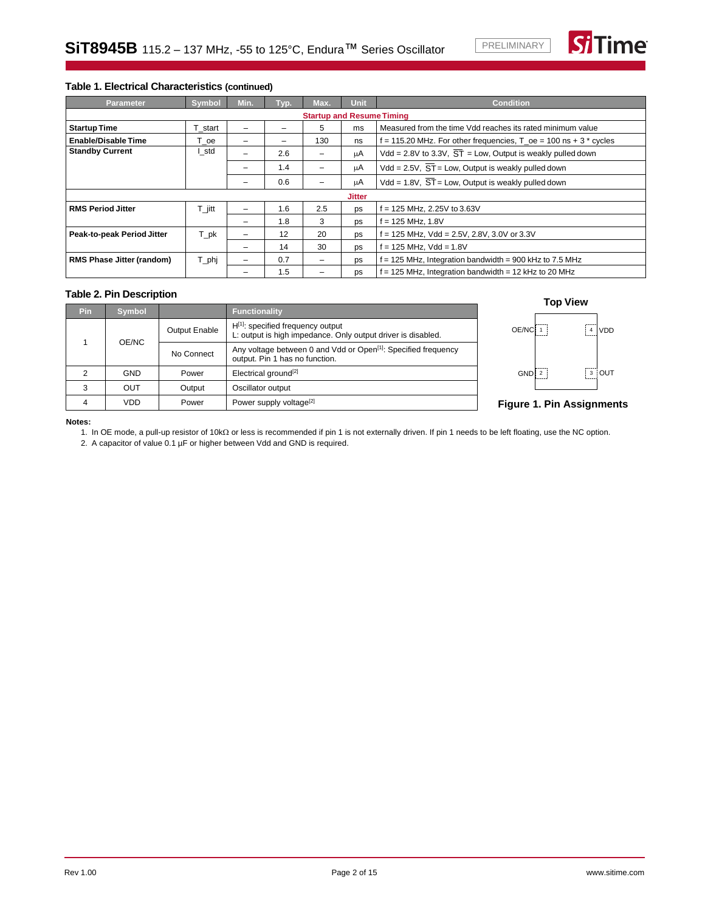

### **Table 1. Electrical Characteristics (continued)**

| <b>Parameter</b>                 | <b>Symbol</b>        | Min.                     | Typ. | Max. | <b>Unit</b>   | <b>Condition</b>                                                           |
|----------------------------------|----------------------|--------------------------|------|------|---------------|----------------------------------------------------------------------------|
| <b>Startup and Resume Timing</b> |                      |                          |      |      |               |                                                                            |
| <b>Startup Time</b>              | T start              |                          |      | 5    | ms            | Measured from the time Vdd reaches its rated minimum value                 |
| Enable/Disable Time              | T <sub>0</sub> e     | $\overline{\phantom{0}}$ | -    | 130  | ns            | $f = 115.20$ MHz. For other frequencies, $T_{0}$ e = 100 ns + 3 $*$ cycles |
| <b>Standby Current</b>           | l_std                |                          | 2.6  |      | μA            | Vdd = 2.8V to 3.3V, $\overline{ST}$ = Low, Output is weakly pulled down    |
|                                  |                      | $\overline{\phantom{0}}$ | 1.4  | -    | μA            | Vdd = $2.5V$ , $\overline{ST}$ = Low, Output is weakly pulled down         |
|                                  |                      |                          | 0.6  |      | μA            | Vdd = 1.8V, $\overline{ST}$ = Low, Output is weakly pulled down            |
|                                  |                      |                          |      |      | <b>Jitter</b> |                                                                            |
| <b>RMS Period Jitter</b>         | $T_{\parallel}$ jitt |                          | 1.6  | 2.5  | ps            | f = 125 MHz, 2.25V to 3.63V                                                |
|                                  |                      | $\overline{\phantom{0}}$ | 1.8  | 3    | ps            | f = 125 MHz, 1.8V                                                          |
| Peak-to-peak Period Jitter       | T_pk                 |                          | 12   | 20   | ps            | = 125 MHz, Vdd = 2.5V, 2.8V, 3.0V or 3.3V                                  |
|                                  |                      |                          | 14   | 30   | ps            | f = 125 MHz, Vdd = 1.8V                                                    |
| <b>RMS Phase Jitter (random)</b> | $T$ <sub>_phj</sub>  |                          | 0.7  |      | ps            | f = 125 MHz, Integration bandwidth = 900 kHz to 7.5 MHz                    |
|                                  |                      |                          | 1.5  |      | ps            | $f = 125$ MHz, Integration bandwidth = 12 kHz to 20 MHz                    |

## **Table 2. Pin Description**

| Pin.  | <b>Symbol</b> |                                                                                                              | <b>Functionality</b>                                                                                   |
|-------|---------------|--------------------------------------------------------------------------------------------------------------|--------------------------------------------------------------------------------------------------------|
|       |               | <b>Output Enable</b>                                                                                         | $H^{[1]}$ : specified frequency output<br>L: output is high impedance. Only output driver is disabled. |
| OE/NC | No Connect    | Any voltage between 0 and Vdd or Open <sup>[1]</sup> : Specified frequency<br>output. Pin 1 has no function. |                                                                                                        |
| 2     | GND           | Power                                                                                                        | Electrical ground <sup>[2]</sup>                                                                       |
| 3     | OUT           | Output                                                                                                       | Oscillator output                                                                                      |
|       | VDD           | Power                                                                                                        | Power supply voltage <sup>[2]</sup>                                                                    |





### **Figure 1. Pin Assignments**

#### <span id="page-1-1"></span><span id="page-1-0"></span>**Notes:**

1. In OE mode, a pull-up resistor of 10kΩ or less is recommended if pin 1 is not externally driven. If pin 1 needs to be left floating, use the NC option.

2. A capacitor of value 0.1 µF or higher between Vdd and GND is required.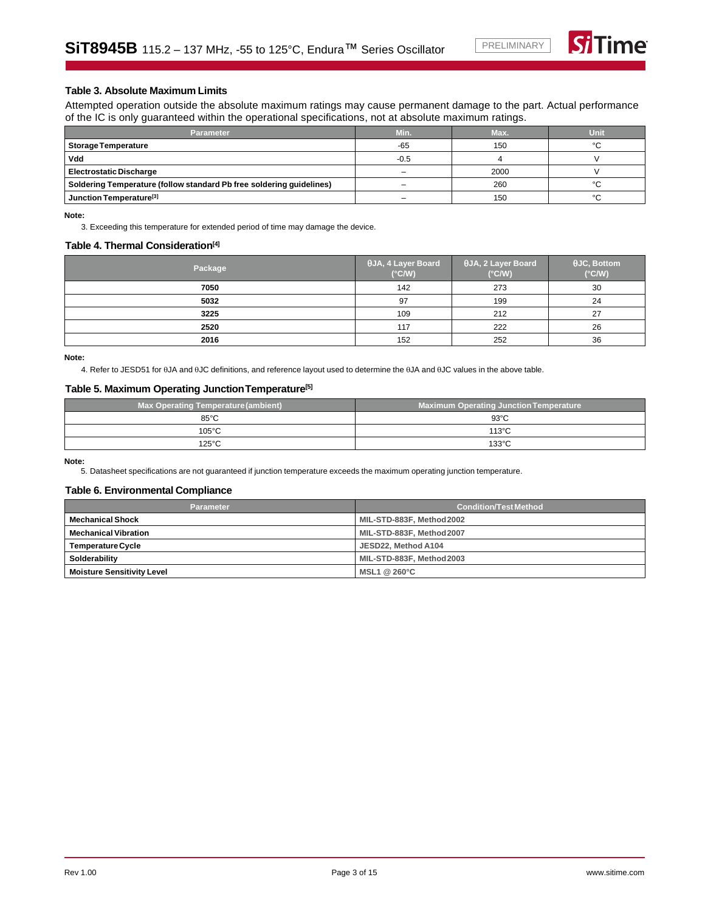

### **Table 3. Absolute Maximum Limits**

Attempted operation outside the absolute maximum ratings may cause permanent damage to the part. Actual performance of the IC is only guaranteed within the operational specifications, not at absolute maximum ratings.

| <b>Parameter</b>                                                     | Min.   | Max. | Unit   |
|----------------------------------------------------------------------|--------|------|--------|
| <b>Storage Temperature</b>                                           | $-65$  | 150  | $\sim$ |
| Vdd                                                                  | $-0.5$ |      |        |
| <b>Electrostatic Discharge</b>                                       |        | 2000 |        |
| Soldering Temperature (follow standard Pb free soldering guidelines) |        | 260  | $\sim$ |
| Junction Temperature <sup>[3]</sup>                                  |        | 150  | $\sim$ |

<span id="page-2-0"></span>**Note:**

3. Exceeding this temperature for extended period of time may damage the device.

### **Table 4. Thermal Consideration[\[4\]](#page-2-1)**

| Package | $\theta$ JA, 4 Layer Board<br>$(^{\circ}C/W)$ | $\theta$ JA, 2 Layer Board<br>$(^{\circ}C/W)$ | $\theta$ JC, Bottom<br>$(^{\circ}C/W)$ |
|---------|-----------------------------------------------|-----------------------------------------------|----------------------------------------|
| 7050    | 142                                           | 273                                           | 30                                     |
| 5032    | 97                                            | 199                                           | 24                                     |
| 3225    | 109                                           | 212                                           | 27                                     |
| 2520    | 117                                           | 222                                           | 26                                     |
| 2016    | 152                                           | 252                                           | 36                                     |

<span id="page-2-1"></span>**Note:**

4. Refer to JESD51 for  $\theta$ JA and  $\theta$ JC definitions, and reference layout used to determine the  $\theta$ JA and  $\theta$ JC values in the above table.

#### **Table 5. Maximum Operating JunctionTemperature[\[5\]](#page-2-2)**

| <b>Max Operating Temperature (ambient)</b> | <b>Maximum Operating Junction Temperature</b> |
|--------------------------------------------|-----------------------------------------------|
| $85^{\circ}$ C                             | $93^{\circ}$ C                                |
| $105^{\circ}$ C                            | $113^{\circ}$ C                               |
| $125^{\circ}$ C                            | $133^{\circ}$ C                               |

<span id="page-2-2"></span>**Note:**

5. Datasheet specifications are not guaranteed if junction temperature exceeds the maximum operating junction temperature.

### **Table 6. Environmental Compliance**

| <b>Parameter</b>                  | <b>Condition/Test Method</b> |  |
|-----------------------------------|------------------------------|--|
| <b>Mechanical Shock</b>           | MIL-STD-883F, Method 2002    |  |
| <b>Mechanical Vibration</b>       | MIL-STD-883F, Method 2007    |  |
| <b>Temperature Cycle</b>          | JESD22. Method A104          |  |
| Solderability                     | MIL-STD-883F, Method 2003    |  |
| <b>Moisture Sensitivity Level</b> | MSL1@260°C                   |  |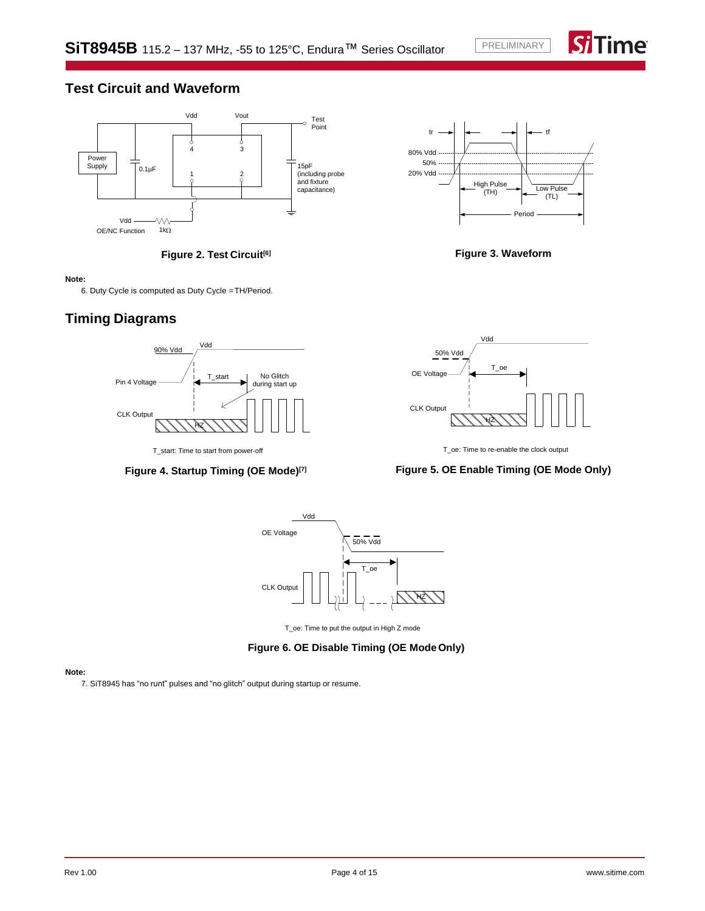Time

# **Test Circuit and Waveform**





### <span id="page-3-1"></span>**Note:**

6. Duty Cycle is computed as Duty Cycle =TH/Period.

# **Timing Diagrams**



## **Figure 4. Startup Timing (OE Mode)[\[7\]](#page-3-2)**



**Figure 3. Waveform**



T\_oe: Time to re-enable the clock output

# **Figure 5. OE Enable Timing (OE Mode Only)**



T\_oe: Time to put the output in High Z mode

## **Figure 6. OE Disable Timing (OE ModeOnly)**

### <span id="page-3-2"></span><span id="page-3-0"></span>**Note:**

7. SiT8945 has "no runt" pulses and "no glitch" output during startup or resume.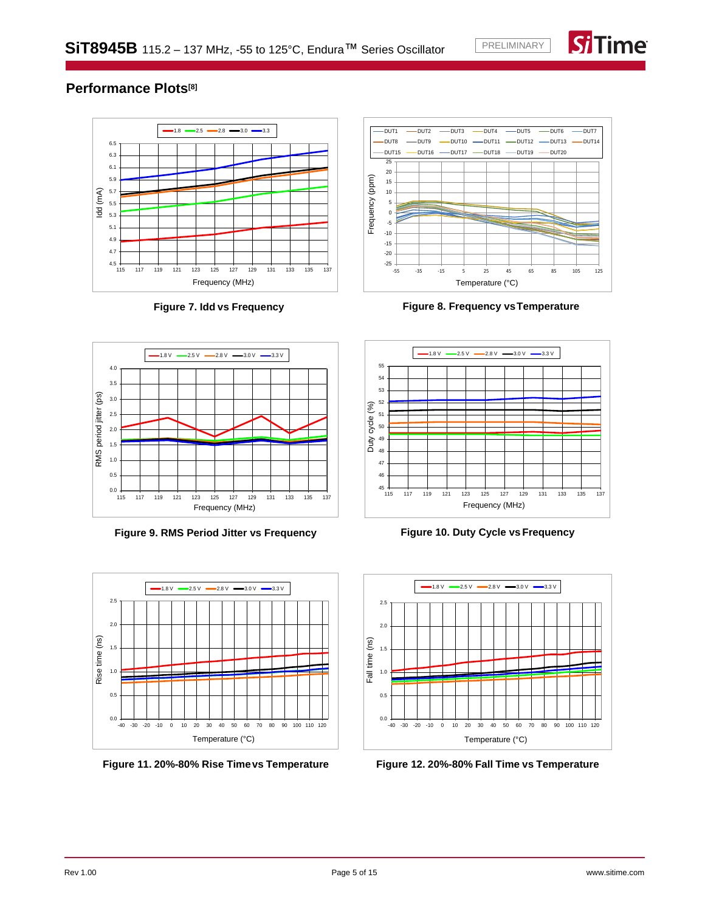

# **Performance Plots[\[8\]](#page-5-0)**



**Figure 7. Idd vs Frequency**



**Figure 8. Frequency vsTemperature**



**Figure 9. RMS Period Jitter vs Frequency**



**Figure 11. 20%-80% Rise Timevs Temperature**



**Figure 10. Duty Cycle vs Frequency**



**Figure 12. 20%-80% Fall Time vs Temperature**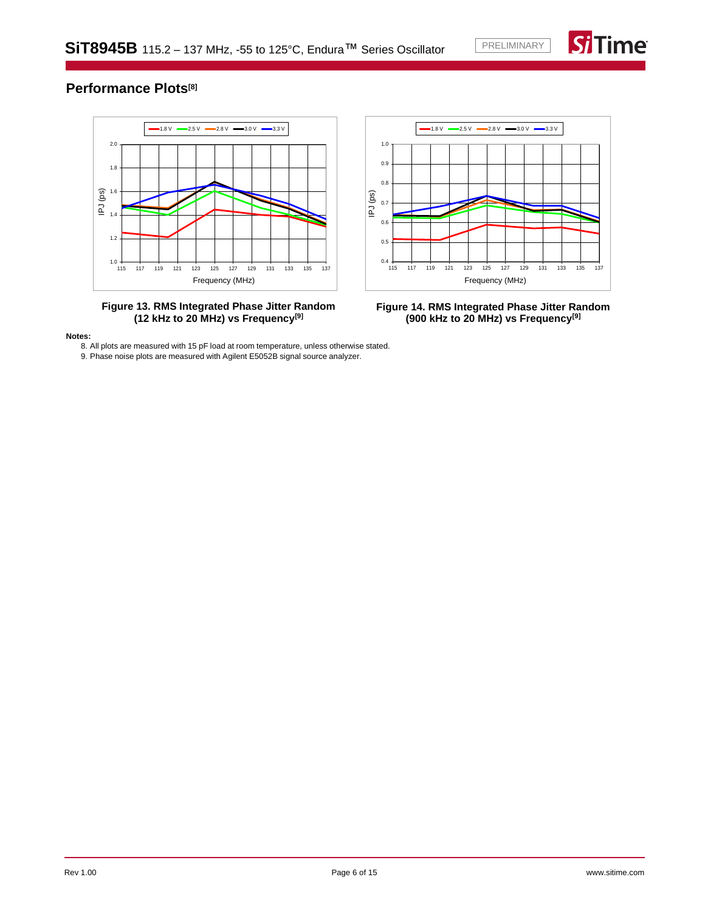

# **Performance Plots[\[8\]](#page-5-0)**



**Figure 13. RMS Integrated Phase Jitter Random (12 kHz to 20 MHz) vs Frequency[\[9\]](#page-5-1)**



**Figure 14. RMS Integrated Phase Jitter Random (900 kHz to 20 MHz) vs Frequency[\[9\]](#page-5-1)**

<span id="page-5-1"></span><span id="page-5-0"></span>**Notes:**

8. All plots are measured with 15 pF load at room temperature, unless otherwise stated.

9. Phase noise plots are measured with Agilent E5052B signal source analyzer.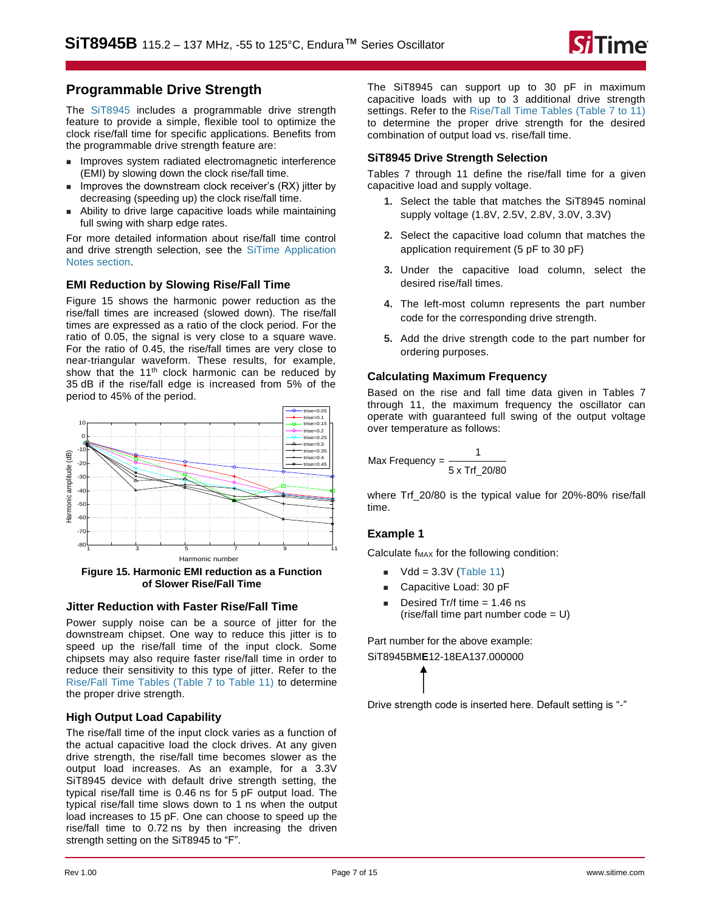# **Programmable Drive Strength**

The [SiT8945](https://www.sitime.com/products/lvcmos-ruggedized-oscillators/sit8945) includes a programmable drive strength feature to provide a simple, flexible tool to optimize the clock rise/fall time for specific applications. Benefits from the programmable drive strength feature are:

- Improves system radiated electromagnetic interference (EMI) by slowing down the clock rise/fall time.
- Improves the downstream clock receiver's (RX) litter by decreasing (speeding up) the clock rise/fall time.
- Ability to drive large capacitive loads while maintaining full swing with sharp edge rates.

For more detailed information about rise/fall time control and drive strength selection, see the [SiTime Application](https://www.sitime.com/support/resource-library?filter=641)  Notes [section.](https://www.sitime.com/support/resource-library?filter=641)

# **EMI Reduction by Slowing Rise/Fall Time**

[Figure 15](#page-6-0) shows the harmonic power reduction as the rise/fall times are increased (slowed down). The rise/fall times are expressed as a ratio of the clock period. For the ratio of 0.05, the signal is very close to a square wave. For the ratio of 0.45, the rise/fall times are very close to near-triangular waveform. These results, for example, show that the 11<sup>th</sup> clock harmonic can be reduced by 35 dB if the rise/fall edge is increased from 5% of the period to 45% of the period.



<span id="page-6-0"></span>**Figure 15. Harmonic EMI reduction as a Function of Slower Rise/Fall Time**

## **Jitter Reduction with Faster Rise/Fall Time**

Power supply noise can be a source of jitter for the downstream chipset. One way to reduce this jitter is to speed up the rise/fall time of the input clock. Some chipsets may also require faster rise/fall time in order to reduce their sensitivity to this type of jitter. Refer to the [Rise/Fall Time Tables \(Table 7 to Table 11\)](#page-7-0) to determine the proper drive strength.

## **High Output Load Capability**

<span id="page-6-1"></span>The rise/fall time of the input clock varies as a function of the actual capacitive load the clock drives. At any given drive strength, the rise/fall time becomes slower as the output load increases. As an example, for a 3.3V SiT8945 device with default drive strength setting, the typical rise/fall time is 0.46 ns for 5 pF output load. The typical rise/fall time slows down to 1 ns when the output load increases to 15 pF. One can choose to speed up the rise/fall time to 0.72 ns by then increasing the driven strength setting on the SiT8945 to "F".

The SiT8945 can support up to 30 pF in maximum capacitive loads with up to 3 additional drive strength settings. Refer to the [Rise/Tall Time Tables \(Table 7 to 11\)](#page-7-0) to determine the proper drive strength for the desired combination of output load vs. rise/fall time.

# **SiT8945 Drive Strength Selection**

[Tables 7 through 11](#page-7-0) define the rise/fall time for a given capacitive load and supply voltage.

- **1.** Select the table that matches the SiT8945 nominal supply voltage (1.8V, 2.5V, 2.8V, 3.0V, 3.3V)
- **2.** Select the capacitive load column that matches the application requirement (5 pF to 30 pF)
- **3.** Under the capacitive load column, select the desired rise/fall times.
- **4.** The left-most column represents the part number code for the corresponding drive strength.
- **5.** Add the drive strength code to the part number for ordering purposes.

## **Calculating Maximum Frequency**

Based on the rise and fall time data given in [Tables 7](#page-6-1)  [through 11,](#page-6-1) the maximum frequency the oscillator can operate with guaranteed full swing of the output voltage over temperature as follows:

$$
Max Frequency = \frac{1}{5 \times Trf\_20/80}
$$

where Trf 20/80 is the typical value for 20%-80% rise/fall time.

# **Example 1**

Calculate  $f_{MAX}$  for the following condition:

- $Vdd = 3.3V$  [\(Table 11\)](#page-7-1)
- Capacitive Load: 30 pF
- Desired Tr/f time  $= 1.46$  ns  $(rise/fall time part number code = U)$

Part number for the above example:

SiT8945BM**E**12-18EA137.000000

Drive strength code is inserted here. Default setting is "-"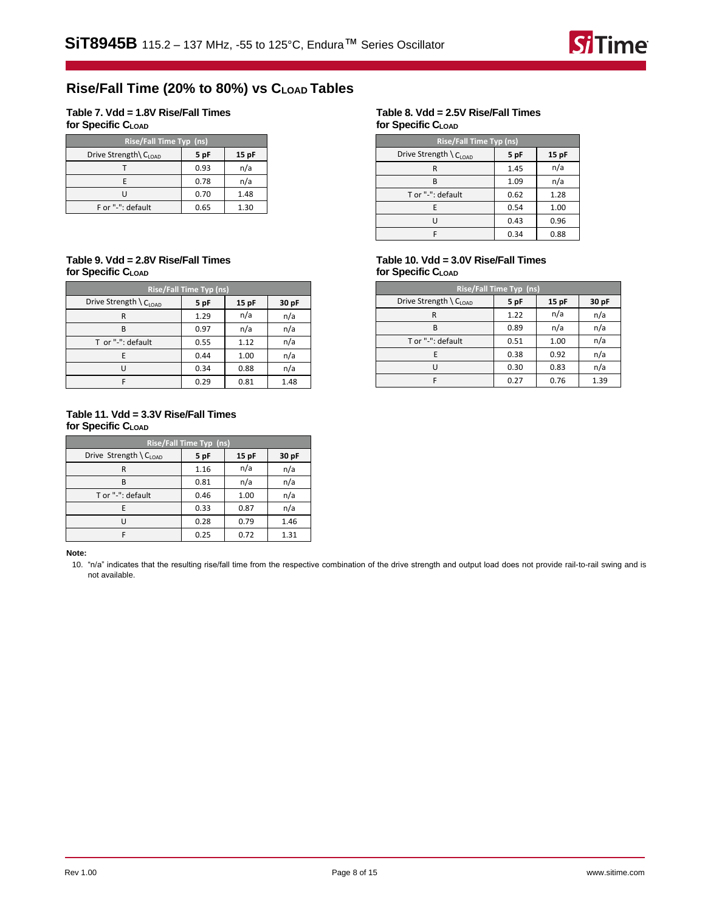

# **Rise/Fall Time (20% to 80%) vs CLOAD Tables**

### <span id="page-7-0"></span>**Table 7. Vdd = 1.8V Rise/Fall Times for Specific CLOAD**

| Rise/Fall Time Typ (ns)          |      |       |  |  |
|----------------------------------|------|-------|--|--|
| Drive Strength\C <sub>LOAD</sub> | 5 pF | 15 pF |  |  |
|                                  | 0.93 | n/a   |  |  |
| F                                | 0.78 | n/a   |  |  |
| י ו                              | 0.70 | 1.48  |  |  |
| F or "-": default                | 0.65 | 1.30  |  |  |

### **Table 9. Vdd = 2.8V Rise/Fall Times for Specific CLOAD**

| <b>Rise/Fall Time Typ (ns)</b> |      |      |       |  |
|--------------------------------|------|------|-------|--|
| Drive Strength $C_{LOAD}$      | 5 pF | 15pF | 30 pF |  |
| R                              | 1.29 | n/a  | n/a   |  |
| В                              | 0.97 | n/a  | n/a   |  |
| T or "-": default              | 0.55 | 1.12 | n/a   |  |
| Е                              | 0.44 | 1.00 | n/a   |  |
| U                              | 0.34 | 0.88 | n/a   |  |
|                                | 0.29 | 0.81 | 1.48  |  |

### <span id="page-7-1"></span>**Table 11. Vdd = 3.3V Rise/Fall Times for Specific CLOAD**

| Rise/Fall Time Typ (ns) |      |      |       |  |  |
|-------------------------|------|------|-------|--|--|
| Drive Strength \ CLOAD  | 5 pF | 15pF | 30 pF |  |  |
| R                       | 1.16 | n/a  | n/a   |  |  |
| В                       | 0.81 | n/a  | n/a   |  |  |
| T or "-": default       | 0.46 | 1.00 | n/a   |  |  |
|                         | 0.33 | 0.87 | n/a   |  |  |
|                         | 0.28 | 0.79 | 1.46  |  |  |
|                         | 0.25 | 0.72 | 1.31  |  |  |

<span id="page-7-2"></span>**Note:**

10. "n/a" indicates that the resulting rise/fall time from the respective combination of the drive strength and output load does not provide rail-to-rail swing and is not available.

### **Table 8. Vdd = 2.5V Rise/Fall Times for Specific CLOAD**

| <b>Rise/Fall Time Typ (ns)</b> |      |      |  |  |  |
|--------------------------------|------|------|--|--|--|
| Drive Strength \ CLOAD         | 5 pF | 15pF |  |  |  |
| R                              | 1.45 | n/a  |  |  |  |
| R                              | 1.09 | n/a  |  |  |  |
| T or "-": default              | 0.62 | 1.28 |  |  |  |
| F.                             | 0.54 | 1.00 |  |  |  |
|                                | 0.43 | 0.96 |  |  |  |
|                                | 0.34 | 0.88 |  |  |  |

## **Table 10. Vdd = 3.0V Rise/Fall Times for Specific CLOAD**

| Rise/Fall Time Typ (ns) |      |      |       |  |
|-------------------------|------|------|-------|--|
| Drive Strength $CLOAD$  | 5 pF | 15pF | 30 pF |  |
| R                       | 1.22 | n/a  | n/a   |  |
| в                       | 0.89 | n/a  | n/a   |  |
| T or "-": default       | 0.51 | 1.00 | n/a   |  |
| F                       | 0.38 | 0.92 | n/a   |  |
|                         | 0.30 | 0.83 | n/a   |  |
|                         | 0.27 | 0.76 | 1.39  |  |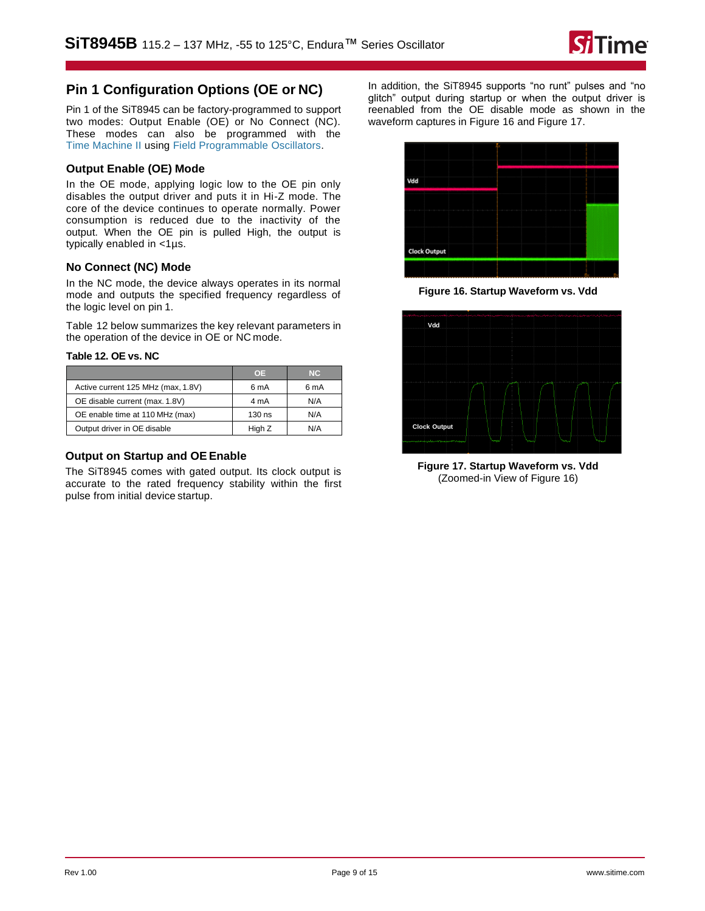

# **Pin 1 Configuration Options (OE or NC)**

Pin 1 of the SiT8945 can be factory-programmed to support two modes: Output Enable (OE) or No Connect (NC). These modes can also be programmed with the [Time Machine II](http://www.sitime.com/time-machine) using [Field Programmable](http://www.sitime.com/fp-devices) [Oscillators.](http://www.sitime.com/fp-devices)

## **Output Enable (OE) Mode**

In the OE mode, applying logic low to the OE pin only disables the output driver and puts it in Hi-Z mode. The core of the device continues to operate normally. Power consumption is reduced due to the inactivity of the output. When the OE pin is pulled High, the output is typically enabled in <1µs.

## **No Connect (NC) Mode**

In the NC mode, the device always operates in its normal mode and outputs the specified frequency regardless of the logic level on pin 1.

[Table 12](#page-8-0) below summarizes the key relevant parameters in the operation of the device in OE or NC mode.

### <span id="page-8-0"></span>**Table 12. OE vs. NC**

|                                    | 0E.    | NC.  |
|------------------------------------|--------|------|
| Active current 125 MHz (max, 1.8V) | 6 mA   | 6 mA |
| OE disable current (max. 1.8V)     | 4 mA   | N/A  |
| OE enable time at 110 MHz (max)    | 130 ns | N/A  |
| Output driver in OE disable        | High Z | N/A  |

### **Output on Startup and OE Enable**

The SiT8945 comes with gated output. Its clock output is accurate to the rated frequency stability within the first pulse from initial device startup.

In addition, the SiT8945 supports "no runt" pulses and "no glitch" output during startup or when the output driver is reenabled from the OE disable mode as shown in the waveform captures in [Figure 16](#page-8-1) an[d Figure 17.](#page-8-2)



**Figure 16. Startup Waveform vs. Vdd**

<span id="page-8-1"></span>

<span id="page-8-2"></span>**Figure 17. Startup Waveform vs. Vdd**  (Zoomed-in View of [Figure 16\)](#page-8-1)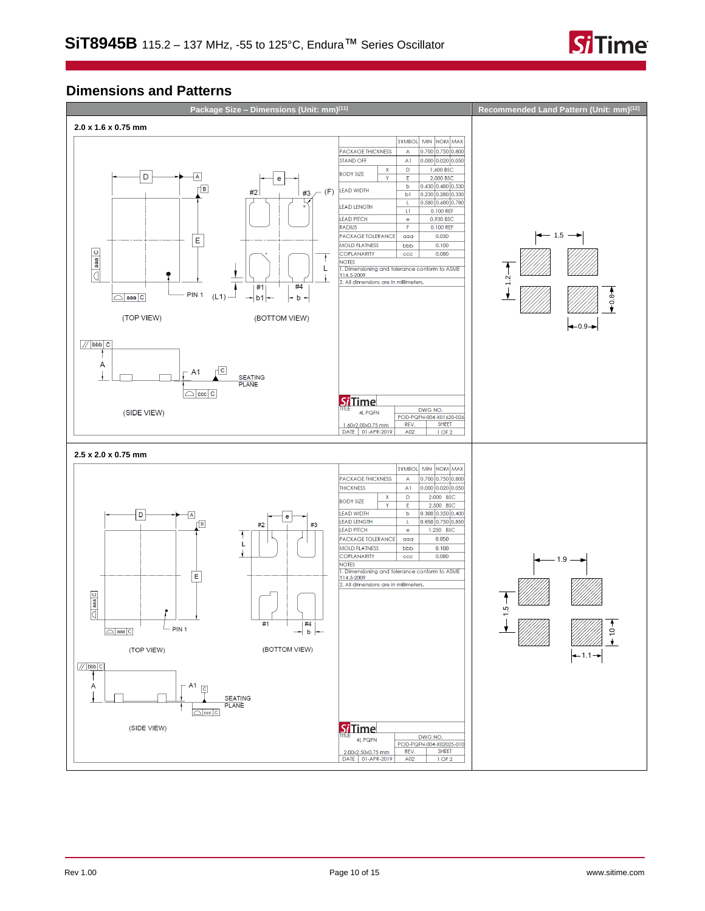

# **Dimensions and Patterns**

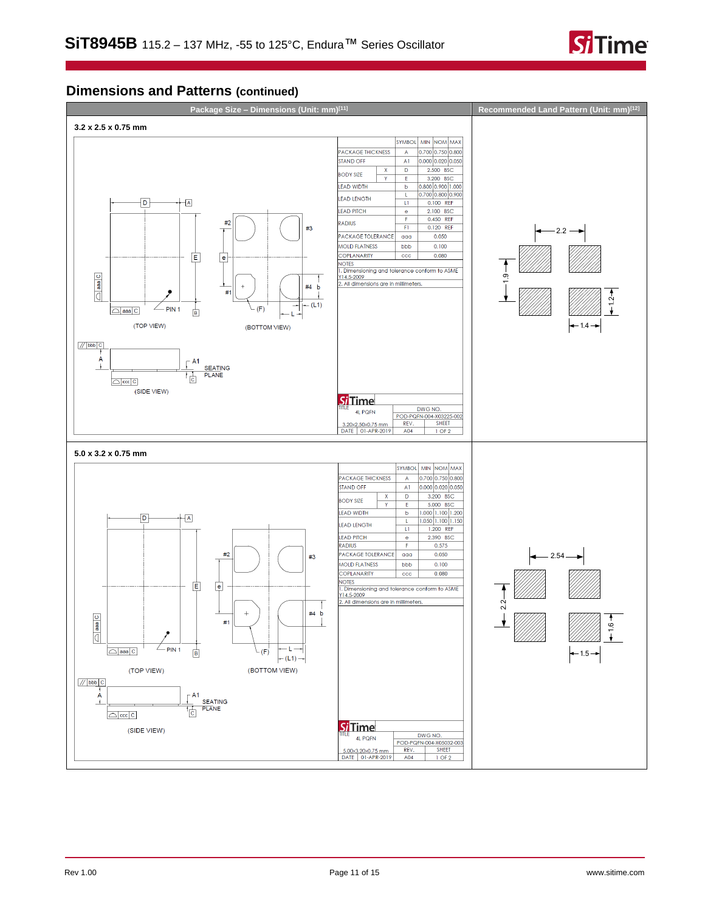

# **Dimensions and Patterns (continued)**

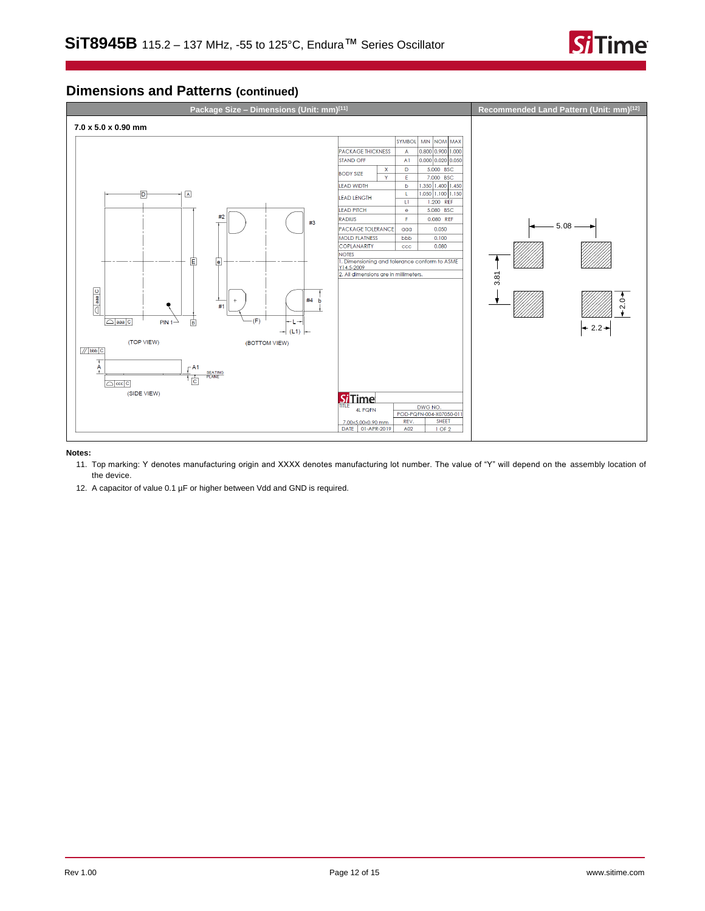

# **Dimensions and Patterns (continued)**



### <span id="page-11-0"></span>**Notes:**

- 11. Top marking: Y denotes manufacturing origin and XXXX denotes manufacturing lot number. The value of "Y" will depend on the assembly location of the device.
- 12. A capacitor of value 0.1 µF or higher between Vdd and GND is required.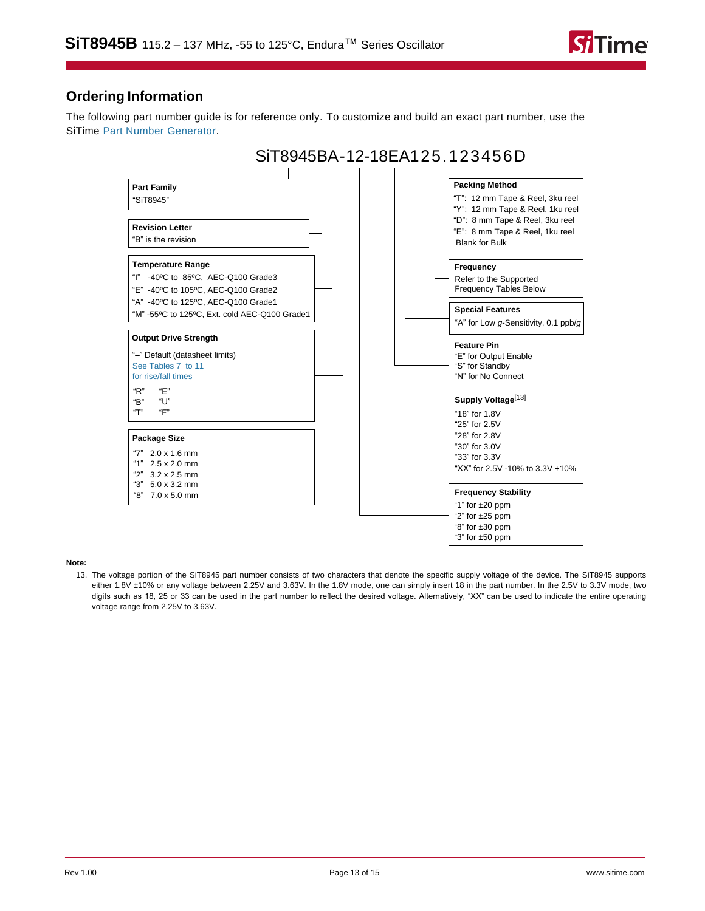

# **Ordering Information**

The following part number guide is for reference only. To customize and build an exact part number, use the SiTime [Part Number Generator.](https://www.sitime.com/part-number-generator?product=SiT8945)



### <span id="page-12-0"></span>**Note:**

13. The voltage portion of the SiT8945 part number consists of two characters that denote the specific supply voltage of the device. The SiT8945 supports either 1.8V ±10% or any voltage between 2.25V and 3.63V. In the 1.8V mode, one can simply insert 18 in the part number. In the 2.5V to 3.3V mode, two digits such as 18, 25 or 33 can be used in the part number to reflect the desired voltage. Alternatively, "XX" can be used to indicate the entire operating voltage range from 2.25V to 3.63V.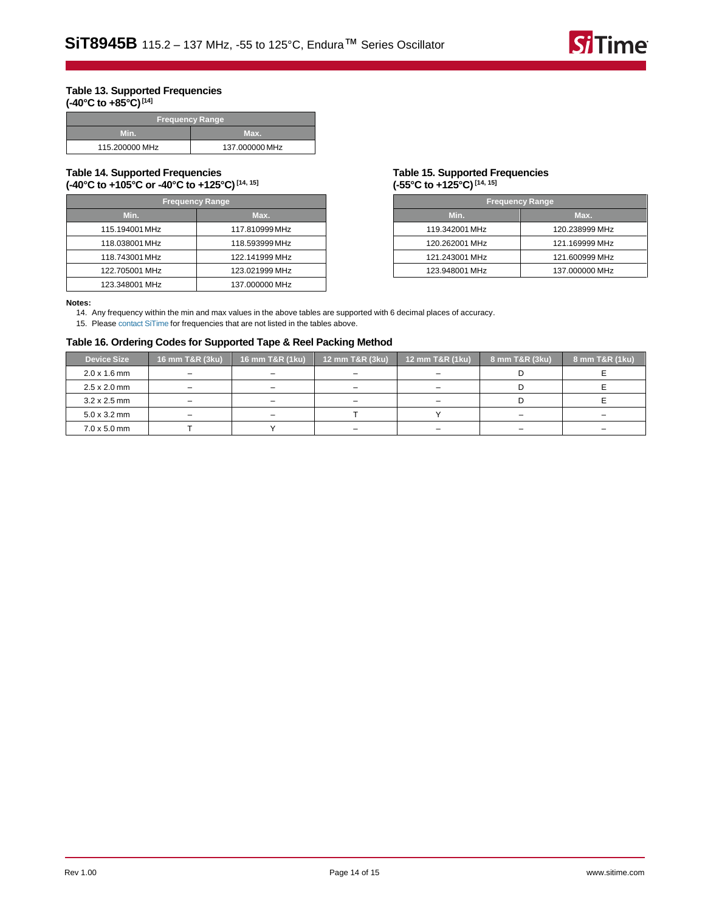### <span id="page-13-1"></span>**Table 13. Supported Frequencies (-40°C to +85°C)[\[14\]](#page-13-3)**

| <b>Frequency Range</b> |                |  |
|------------------------|----------------|--|
| Min.                   | Max.           |  |
| 115.200000 MHz         | 137.000000 MHz |  |

### **Table 14. Supported Frequencies (-40°C to +105°C or -40°C to +125°C)[\[14,](#page-13-3) [15\]](#page-13-4)**

| <b>Frequency Range</b> |                |  |
|------------------------|----------------|--|
| Min.                   | Max.           |  |
| 115.194001 MHz         | 117.810999 MHz |  |
| 118.038001 MHz         | 118.593999 MHz |  |
| 118.743001 MHz         | 122.141999 MHz |  |
| 122.705001 MHz         | 123.021999 MHz |  |
| 123.348001 MHz         | 137.000000 MHz |  |

### <span id="page-13-2"></span>**Table 15. Supported Frequencies (-55°C to +125°C)[\[14,](#page-13-3) [15\]](#page-13-4)**

| <b>Frequency Range</b> |                |  |
|------------------------|----------------|--|
| Min.                   | Max.           |  |
| 119.342001 MHz         | 120.238999 MHz |  |
| 120.262001 MHz         | 121.169999 MHz |  |
| 121.243001 MHz         | 121.600999 MHz |  |
| 123.948001 MHz         | 137.000000 MHz |  |

#### <span id="page-13-3"></span><span id="page-13-0"></span>**Notes:**

14. Any frequency within the min and max values in the above tables are supported with 6 decimal places of accuracy.

15. Please [contact SiTime](https://www.sitime.com/contact-us) for frequencies that are not listed in the tables above.

# <span id="page-13-4"></span>**Table 16. Ordering Codes for Supported Tape & Reel Packing Method**

| <b>Device Size</b>          | 16 mm T&R (3ku) | 16 mm T&R (1ku)          | 12 mm T&R (3ku)          | 12 mm T&R (1ku) | 8 mm T&R (3ku) | 8 mm T&R (1ku) |
|-----------------------------|-----------------|--------------------------|--------------------------|-----------------|----------------|----------------|
| $2.0 \times 1.6$ mm         |                 | $\overline{\phantom{0}}$ | -                        |                 |                |                |
| $2.5 \times 2.0 \text{ mm}$ |                 | -                        | $\equiv$                 |                 |                |                |
| $3.2 \times 2.5$ mm         |                 | $\overline{\phantom{m}}$ | $\overline{\phantom{0}}$ |                 |                |                |
| $5.0 \times 3.2$ mm         |                 | -                        |                          |                 |                |                |
| $7.0 \times 5.0 \text{ mm}$ |                 |                          | $\overline{\phantom{0}}$ |                 |                | -              |